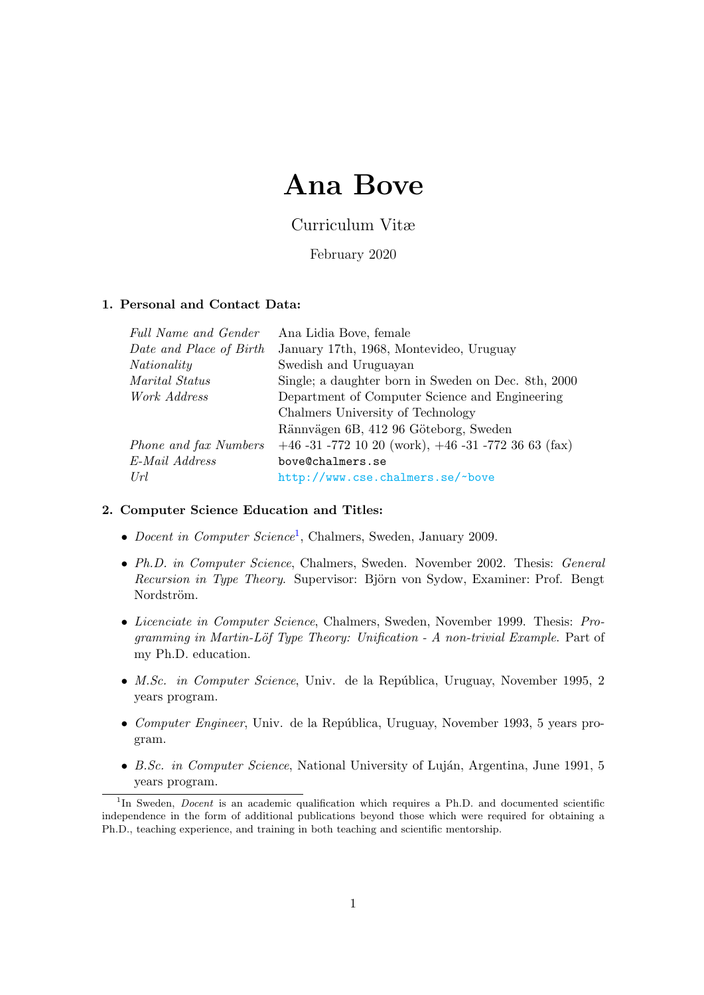# Ana Bove

Curriculum Vitæ

February 2020

# 1. Personal and Contact Data:

| Full Name and Gender    | Ana Lidia Bove, female                                  |
|-------------------------|---------------------------------------------------------|
| Date and Place of Birth | January 17th, 1968, Montevideo, Uruguay                 |
| Nationality             | Swedish and Uruguayan                                   |
| Marital Status          | Single; a daughter born in Sweden on Dec. 8th, 2000     |
| Work Address            | Department of Computer Science and Engineering          |
|                         | Chalmers University of Technology                       |
|                         | Rännvägen 6B, 412 96 Göteborg, Sweden                   |
| Phone and fax Numbers   | $+46 -31 -772$ 10 20 (work), $+46 -31 -772$ 36 63 (fax) |
| E-Mail Address          | bove@chalmers.se                                        |
| Url                     | http://www.cse.chalmers.se/~bove                        |

# 2. Computer Science Education and Titles:

- Docent in Computer Science<sup>[1](#page-0-0)</sup>, Chalmers, Sweden, January 2009.
- Ph.D. in Computer Science, Chalmers, Sweden. November 2002. Thesis: General Recursion in Type Theory. Supervisor: Björn von Sydow, Examiner: Prof. Bengt Nordström.
- Licenciate in Computer Science, Chalmers, Sweden, November 1999. Thesis: Programming in Martin-Löf Type Theory: Unification - A non-trivial Example. Part of my Ph.D. education.
- *M.Sc. in Computer Science*, Univ. de la República, Uruguay, November 1995, 2 years program.
- Computer Engineer, Univ. de la República, Uruguay, November 1993, 5 years program.
- B.Sc. in Computer Science, National University of Luján, Argentina, June 1991, 5 years program.

<span id="page-0-0"></span><sup>&</sup>lt;sup>1</sup>In Sweden, *Docent* is an academic qualification which requires a Ph.D. and documented scientific independence in the form of additional publications beyond those which were required for obtaining a Ph.D., teaching experience, and training in both teaching and scientific mentorship.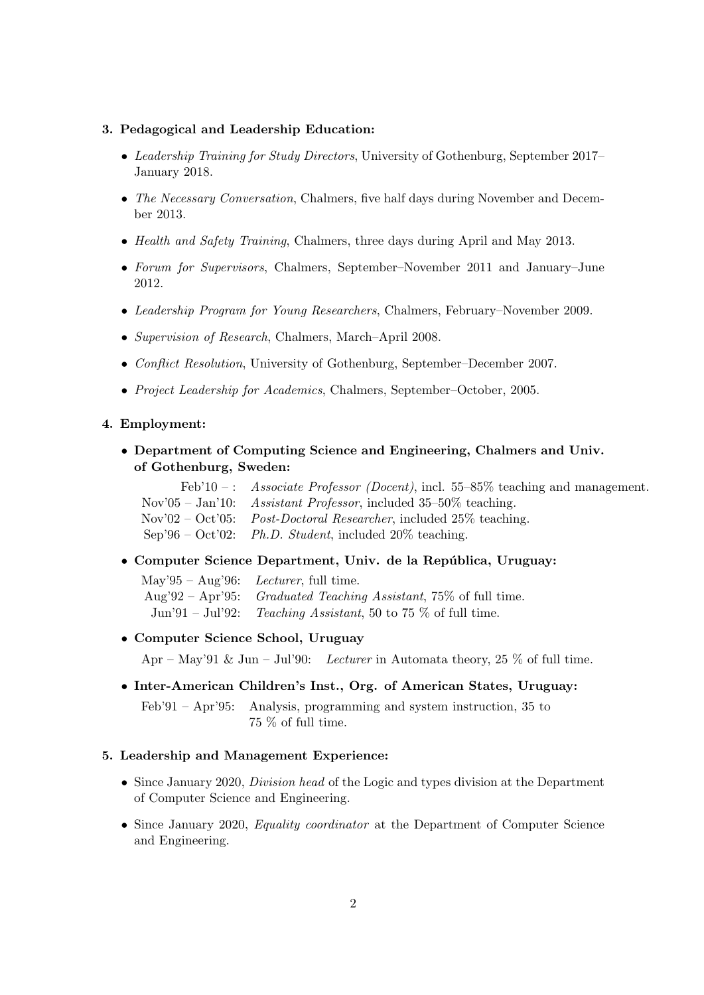#### 3. Pedagogical and Leadership Education:

- Leadership Training for Study Directors, University of Gothenburg, September 2017– January 2018.
- The Necessary Conversation, Chalmers, five half days during November and December 2013.
- Health and Safety Training, Chalmers, three days during April and May 2013.
- Forum for Supervisors, Chalmers, September–November 2011 and January–June 2012.
- Leadership Program for Young Researchers, Chalmers, February–November 2009.
- Supervision of Research, Chalmers, March–April 2008.
- Conflict Resolution, University of Gothenburg, September–December 2007.
- Project Leadership for Academics, Chalmers, September–October, 2005.

#### 4. Employment:

• Department of Computing Science and Engineering, Chalmers and Univ. of Gothenburg, Sweden:

| Feb'10 -: Associate Professor (Docent), incl. 55-85% teaching and management.               |
|---------------------------------------------------------------------------------------------|
| Nov'05 - Jan'10: Assistant Professor, included $35-50\%$ teaching.                          |
| $\text{Nov'}02 - \text{Oct'}05$ : <i>Post-Doctoral Researcher</i> , included 25\% teaching. |
| Sep'96 – Oct'02: Ph.D. Student, included $20\%$ teaching.                                   |

• Computer Science Department, Univ. de la República, Uruguay:

| May'95 – Aug'96: Lecturer, full time.                             |
|-------------------------------------------------------------------|
| Aug'92 – Apr'95: Graduated Teaching Assistant, 75\% of full time. |
| Jun'91 – Jul'92: Teaching Assistant, 50 to 75 $\%$ of full time.  |

#### • Computer Science School, Uruguay

Apr – May'91 & Jun – Jul'90: Lecturer in Automata theory, 25 % of full time.

• Inter-American Children's Inst., Org. of American States, Uruguay: Feb'91 – Apr'95: Analysis, programming and system instruction, 35 to 75 % of full time.

#### 5. Leadership and Management Experience:

- Since January 2020, *Division head* of the Logic and types division at the Department of Computer Science and Engineering.
- Since January 2020, *Equality coordinator* at the Department of Computer Science and Engineering.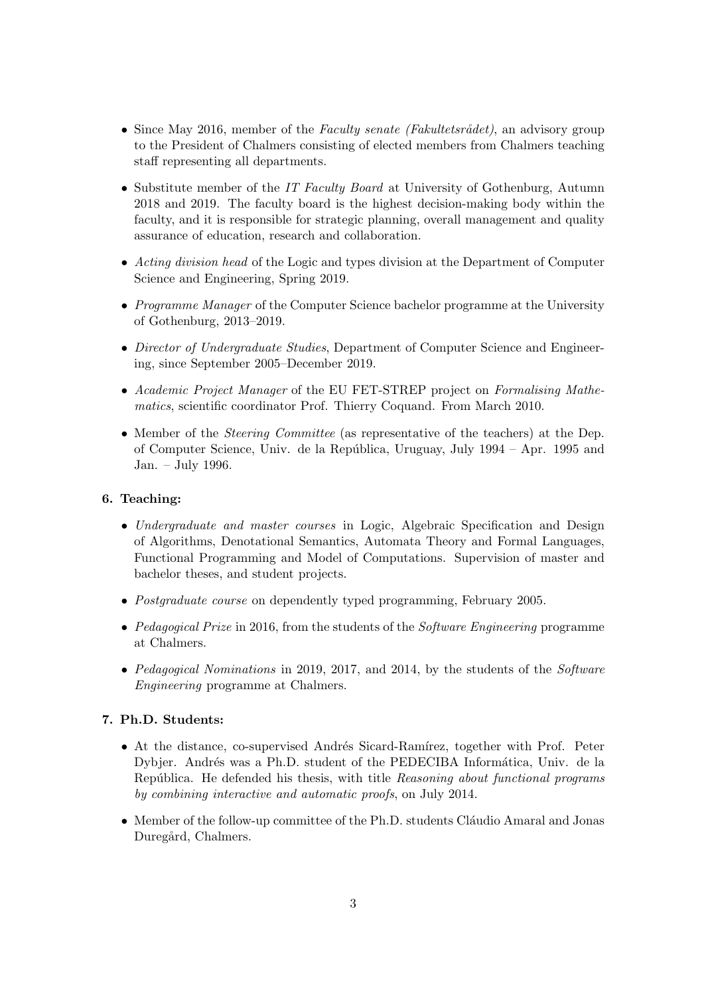- Since May 2016, member of the Faculty senate (Fakultetsrådet), an advisory group to the President of Chalmers consisting of elected members from Chalmers teaching staff representing all departments.
- Substitute member of the IT Faculty Board at University of Gothenburg, Autumn 2018 and 2019. The faculty board is the highest decision-making body within the faculty, and it is responsible for strategic planning, overall management and quality assurance of education, research and collaboration.
- Acting division head of the Logic and types division at the Department of Computer Science and Engineering, Spring 2019.
- Programme Manager of the Computer Science bachelor programme at the University of Gothenburg, 2013–2019.
- Director of Undergraduate Studies, Department of Computer Science and Engineering, since September 2005–December 2019.
- Academic Project Manager of the EU FET-STREP project on Formalising Mathematics, scientific coordinator Prof. Thierry Coquand. From March 2010.
- Member of the *Steering Committee* (as representative of the teachers) at the Dep. of Computer Science, Univ. de la Rep´ublica, Uruguay, July 1994 – Apr. 1995 and Jan. – July 1996.

## 6. Teaching:

- Undergraduate and master courses in Logic, Algebraic Specification and Design of Algorithms, Denotational Semantics, Automata Theory and Formal Languages, Functional Programming and Model of Computations. Supervision of master and bachelor theses, and student projects.
- *Postgraduate course* on dependently typed programming, February 2005.
- Pedagogical Prize in 2016, from the students of the Software Engineering programme at Chalmers.
- Pedagogical Nominations in 2019, 2017, and 2014, by the students of the Software Engineering programme at Chalmers.

# 7. Ph.D. Students:

- At the distance, co-supervised Andrés Sicard-Ramírez, together with Prof. Peter Dybjer. Andrés was a Ph.D. student of the PEDECIBA Informática, Univ. de la República. He defended his thesis, with title Reasoning about functional programs by combining interactive and automatic proofs, on July 2014.
- Member of the follow-up committee of the Ph.D. students Cláudio Amaral and Jonas Duregård, Chalmers.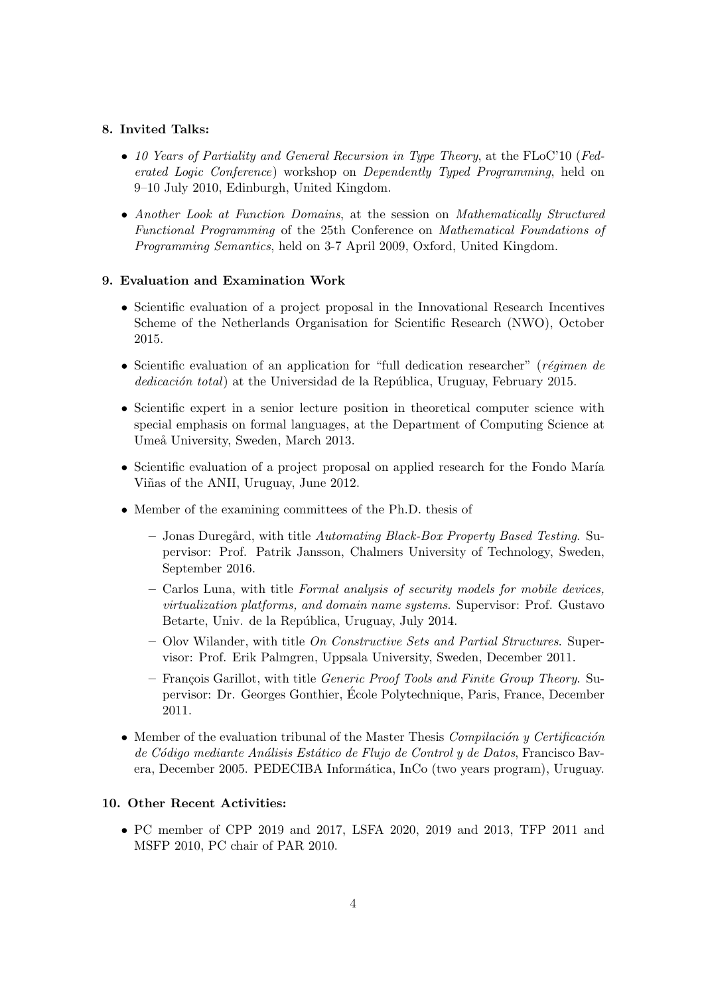## 8. Invited Talks:

- 10 Years of Partiality and General Recursion in Type Theory, at the FLoC'10 (Federated Logic Conference) workshop on Dependently Typed Programming, held on 9–10 July 2010, Edinburgh, United Kingdom.
- Another Look at Function Domains, at the session on Mathematically Structured Functional Programming of the 25th Conference on Mathematical Foundations of Programming Semantics, held on 3-7 April 2009, Oxford, United Kingdom.

## 9. Evaluation and Examination Work

- Scientific evaluation of a project proposal in the Innovational Research Incentives Scheme of the Netherlands Organisation for Scientific Research (NWO), October 2015.
- Scientific evaluation of an application for "full dedication researcher" (régimen de dedicación total) at the Universidad de la República, Uruguay, February 2015.
- Scientific expert in a senior lecture position in theoretical computer science with special emphasis on formal languages, at the Department of Computing Science at Umeå University, Sweden, March 2013.
- Scientific evaluation of a project proposal on applied research for the Fondo María Viñas of the ANII, Uruguay, June 2012.
- Member of the examining committees of the Ph.D. thesis of
	- $-$  Jonas Duregård, with title Automating Black-Box Property Based Testing. Supervisor: Prof. Patrik Jansson, Chalmers University of Technology, Sweden, September 2016.
	- Carlos Luna, with title Formal analysis of security models for mobile devices, virtualization platforms, and domain name systems. Supervisor: Prof. Gustavo Betarte, Univ. de la República, Uruguay, July 2014.
	- $-$  Olov Wilander, with title On Constructive Sets and Partial Structures. Supervisor: Prof. Erik Palmgren, Uppsala University, Sweden, December 2011.
	- François Garillot, with title *Generic Proof Tools and Finite Group Theory*. Supervisor: Dr. Georges Gonthier, Ecole Polytechnique, Paris, France, December ´ 2011.
- Member of the evaluation tribunal of the Master Thesis Compilación y Certificación de Código mediante Análisis Estático de Flujo de Control y de Datos, Francisco Bavera, December 2005. PEDECIBA Inform´atica, InCo (two years program), Uruguay.

## 10. Other Recent Activities:

• PC member of CPP 2019 and 2017, LSFA 2020, 2019 and 2013, TFP 2011 and MSFP 2010, PC chair of PAR 2010.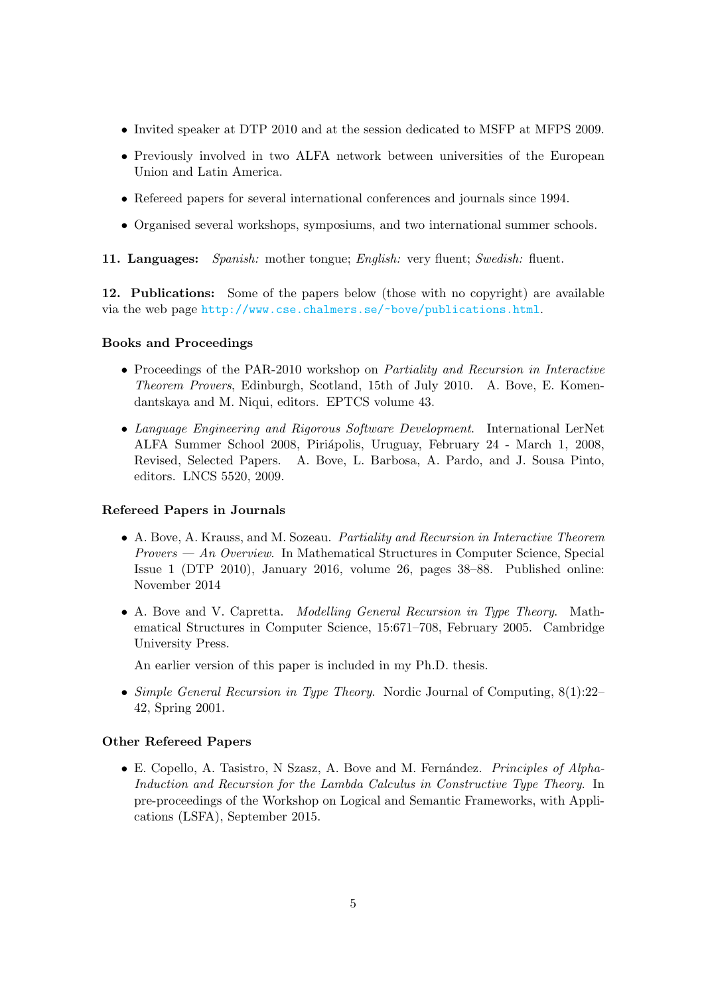- Invited speaker at DTP 2010 and at the session dedicated to MSFP at MFPS 2009.
- Previously involved in two ALFA network between universities of the European Union and Latin America.
- Refereed papers for several international conferences and journals since 1994.
- Organised several workshops, symposiums, and two international summer schools.
- 11. Languages: Spanish: mother tongue; English: very fluent; Swedish: fluent.

12. Publications: Some of the papers below (those with no copyright) are available via the web page <http://www.cse.chalmers.se/~bove/publications.html>.

## Books and Proceedings

- Proceedings of the PAR-2010 workshop on *Partiality and Recursion in Interactive* Theorem Provers, Edinburgh, Scotland, 15th of July 2010. A. Bove, E. Komendantskaya and M. Niqui, editors. EPTCS volume 43.
- Language Engineering and Rigorous Software Development. International LerNet ALFA Summer School 2008, Piriápolis, Uruguay, February 24 - March 1, 2008, Revised, Selected Papers. A. Bove, L. Barbosa, A. Pardo, and J. Sousa Pinto, editors. LNCS 5520, 2009.

## Refereed Papers in Journals

- A. Bove, A. Krauss, and M. Sozeau. Partiality and Recursion in Interactive Theorem  $Provers - An Overview.$  In Mathematical Structures in Computer Science, Special Issue 1 (DTP 2010), January 2016, volume 26, pages 38–88. Published online: November 2014
- A. Bove and V. Capretta. Modelling General Recursion in Type Theory. Mathematical Structures in Computer Science, 15:671–708, February 2005. Cambridge University Press.

An earlier version of this paper is included in my Ph.D. thesis.

• Simple General Recursion in Type Theory. Nordic Journal of Computing,  $8(1):22-$ 42, Spring 2001.

## Other Refereed Papers

• E. Copello, A. Tasistro, N Szasz, A. Bove and M. Fernández. *Principles of Alpha*-Induction and Recursion for the Lambda Calculus in Constructive Type Theory. In pre-proceedings of the Workshop on Logical and Semantic Frameworks, with Applications (LSFA), September 2015.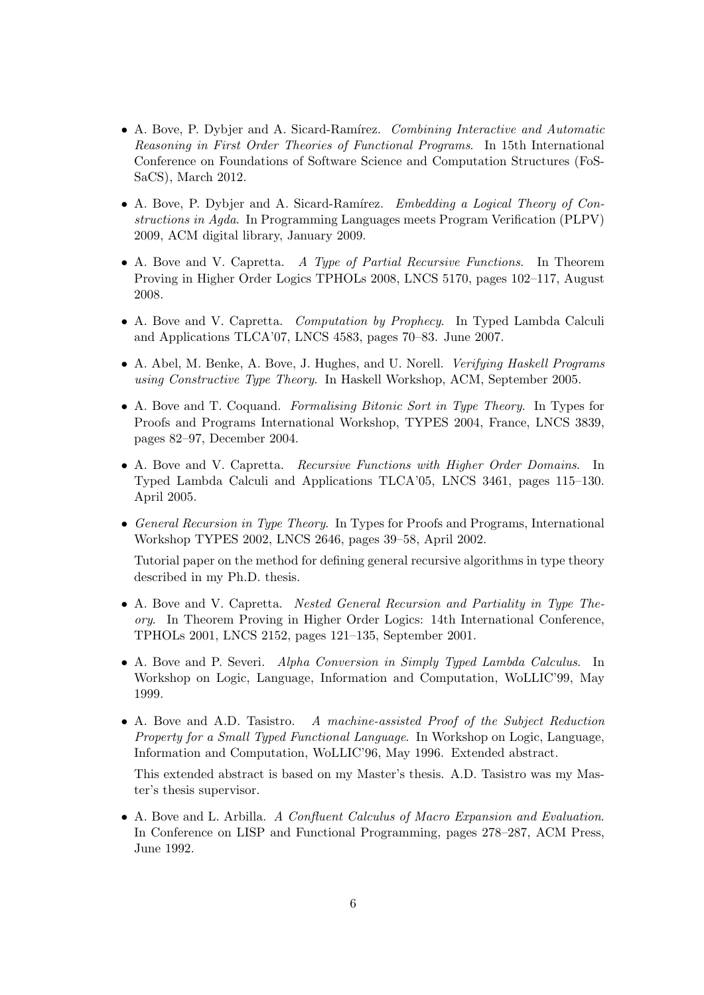- A. Bove, P. Dybjer and A. Sicard-Ramírez. Combining Interactive and Automatic Reasoning in First Order Theories of Functional Programs. In 15th International Conference on Foundations of Software Science and Computation Structures (FoS-SaCS), March 2012.
- A. Bove, P. Dybjer and A. Sicard-Ramírez. Embedding a Logical Theory of Constructions in Agda. In Programming Languages meets Program Verification (PLPV) 2009, ACM digital library, January 2009.
- A. Bove and V. Capretta. A Type of Partial Recursive Functions. In Theorem Proving in Higher Order Logics TPHOLs 2008, LNCS 5170, pages 102–117, August 2008.
- A. Bove and V. Capretta. *Computation by Prophecy*. In Typed Lambda Calculi and Applications TLCA'07, LNCS 4583, pages 70–83. June 2007.
- A. Abel, M. Benke, A. Bove, J. Hughes, and U. Norell. *Verifying Haskell Programs* using Constructive Type Theory. In Haskell Workshop, ACM, September 2005.
- A. Bove and T. Coquand. Formalising Bitonic Sort in Type Theory. In Types for Proofs and Programs International Workshop, TYPES 2004, France, LNCS 3839, pages 82–97, December 2004.
- A. Bove and V. Capretta. Recursive Functions with Higher Order Domains. In Typed Lambda Calculi and Applications TLCA'05, LNCS 3461, pages 115–130. April 2005.
- General Recursion in Type Theory. In Types for Proofs and Programs, International Workshop TYPES 2002, LNCS 2646, pages 39–58, April 2002.

Tutorial paper on the method for defining general recursive algorithms in type theory described in my Ph.D. thesis.

- A. Bove and V. Capretta. Nested General Recursion and Partiality in Type Theory. In Theorem Proving in Higher Order Logics: 14th International Conference, TPHOLs 2001, LNCS 2152, pages 121–135, September 2001.
- A. Bove and P. Severi. Alpha Conversion in Simply Typed Lambda Calculus. In Workshop on Logic, Language, Information and Computation, WoLLIC'99, May 1999.
- A. Bove and A.D. Tasistro. A machine-assisted Proof of the Subject Reduction Property for a Small Typed Functional Language. In Workshop on Logic, Language, Information and Computation, WoLLIC'96, May 1996. Extended abstract.

This extended abstract is based on my Master's thesis. A.D. Tasistro was my Master's thesis supervisor.

• A. Bove and L. Arbilla. A Confluent Calculus of Macro Expansion and Evaluation. In Conference on LISP and Functional Programming, pages 278–287, ACM Press, June 1992.